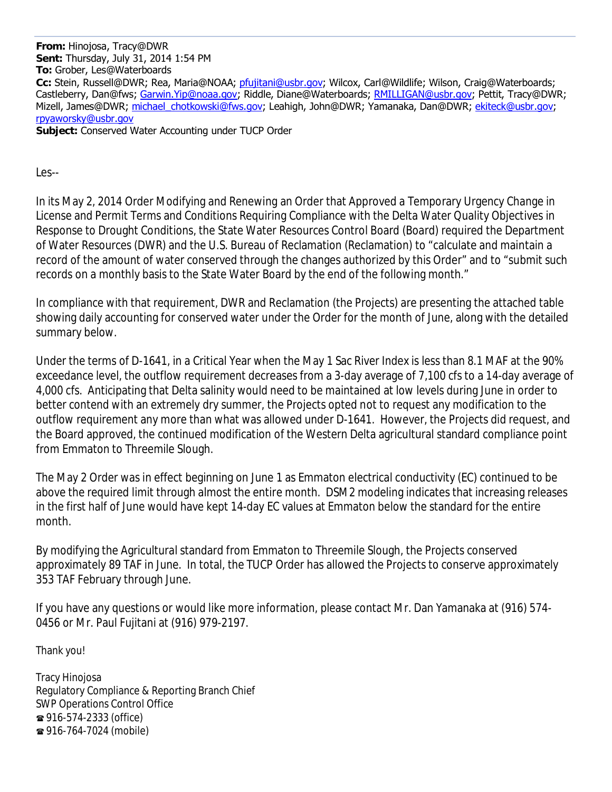**From:** Hinojosa, Tracy@DWR **Sent:** Thursday, July 31, 2014 1:54 PM **To:** Grober, Les@Waterboards **Cc:** Stein, Russell@DWR; Rea, Maria@NOAA; pfujitani@usbr.gov; Wilcox, Carl@Wildlife; Wilson, Craig@Waterboards; Castleberry, Dan@fws; Garwin.Yip@noaa.gov; Riddle, Diane@Waterboards; RMILLIGAN@usbr.gov; Pettit, Tracv@DWR; Mizell, James@DWR; michael chotkowski@fws.gov; Leahigh, John@DWR; Yamanaka, Dan@DWR; ekiteck@usbr.gov; rpyaworsky@usbr.gov **Subject:** Conserved Water Accounting under TUCP Order

Les--

In its May 2, 2014 Order Modifying and Renewing an Order that Approved a Temporary Urgency Change in License and Permit Terms and Conditions Requiring Compliance with the Delta Water Quality Objectives in Response to Drought Conditions, the State Water Resources Control Board (Board) required the Department of Water Resources (DWR) and the U.S. Bureau of Reclamation (Reclamation) to "calculate and maintain a record of the amount of water conserved through the changes authorized by this Order" and to "submit such records on a monthly basis to the State Water Board by the end of the following month."

In compliance with that requirement, DWR and Reclamation (the Projects) are presenting the attached table showing daily accounting for conserved water under the Order for the month of June, along with the detailed summary below.

Under the terms of D-1641, in a Critical Year when the May 1 Sac River Index is less than 8.1 MAF at the 90% exceedance level, the outflow requirement decreases from a 3-day average of 7,100 cfs to a 14-day average of 4,000 cfs. Anticipating that Delta salinity would need to be maintained at low levels during June in order to better contend with an extremely dry summer, the Projects opted not to request any modification to the outflow requirement any more than what was allowed under D-1641. However, the Projects did request, and the Board approved, the continued modification of the Western Delta agricultural standard compliance point from Emmaton to Threemile Slough.

The May 2 Order was in effect beginning on June 1 as Emmaton electrical conductivity (EC) continued to be above the required limit through almost the entire month. DSM2 modeling indicates that increasing releases in the first half of June would have kept 14-day EC values at Emmaton below the standard for the entire month.

By modifying the Agricultural standard from Emmaton to Threemile Slough, the Projects conserved approximately 89 TAF in June. In total, the TUCP Order has allowed the Projects to conserve approximately 353 TAF February through June.

If you have any questions or would like more information, please contact Mr. Dan Yamanaka at (916) 574- 0456 or Mr. Paul Fujitani at (916) 979-2197.

Thank you!

Tracy Hinojosa Regulatory Compliance & Reporting Branch Chief SWP Operations Control Office 916-574-2333 (office) 916-764-7024 (mobile)